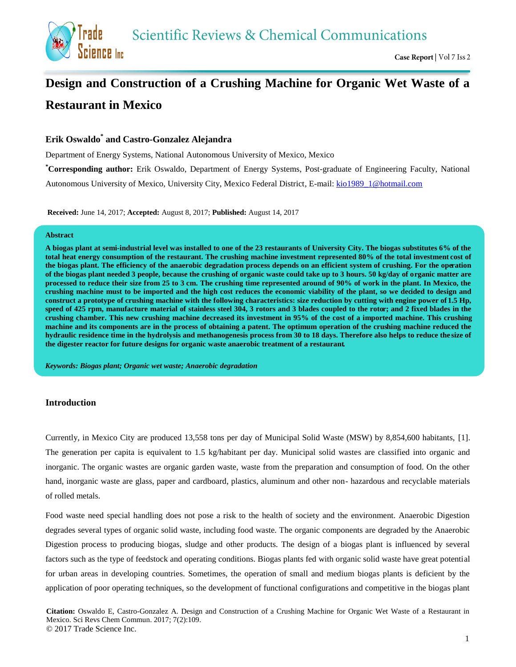**Scientific Reviews & Chemical Communications** 



# **Design and Construction of a Crushing Machine for Organic Wet Waste of a Restaurant in Mexico**

# **Erik Oswaldo \* and Castro-Gonzalez Alejandra**

Department of Energy Systems, National Autonomous University of Mexico, Mexico

**\*Corresponding author:** Erik Oswaldo, Department of Energy Systems, Post-graduate of Engineering Faculty, National Autonomous University of Mexico, University City, Mexico Federal District, E-mail: [kio1989\\_1@hotmail.com](mailto:kio1989_1@hotmail.com)

**Received:** June 14, 2017; **Accepted:** August 8, 2017; **Published:** August 14, 2017

#### **Abstract**

**A biogas plant at semi-industrial level was installed to one of the 23 restaurants of University City. The biogas substitutes 6% of the total heat energy consumption of the restaurant. The crushing machine investment represented 80% of the total investment cost of the biogas plant. The efficiency of the anaerobic degradation process depends on an efficient system of crushing. For the operation of the biogas plant needed 3 people, because the crushing of organic waste could take up to 3 hours. 50 kg/day of organic matter are processed to reduce their size from 25 to 3 cm. The crushing time represented around of 90% of work in the plant. In Mexico, the crushing machine must to be imported and the high cost reduces the economic viability of the plant, so we decided to design and construct a prototype of crushing machine with the following characteristics: size reduction by cutting with engine power of 1.5 Hp, speed of 425 rpm, manufacture material of stainless steel 304, 3 rotors and 3 blades coupled to the rotor; and 2 fixed blades in the crushing chamber. This new crushing machine decreased its investment in 95% of the cost of a imported machine. This crushing machine and its components are in the process of obtaining a patent. The optimum operation of the crushing machine reduced the hydraulic residence time in the hydrolysis and methanogenesis process from 30 to 18 days. Therefore also helps to reduce the size of the digester reactor for future designs for organic waste anaerobic treatment of a restaurant.**

*Keywords: Biogas plant; Organic wet waste; Anaerobic degradation*

## **Introduction**

Currently, in Mexico City are produced 13,558 tons per day of Municipal Solid Waste (MSW) by 8,854,600 habitants, [1]. The generation per capita is equivalent to 1.5 kg/habitant per day. Municipal solid wastes are classified into organic and inorganic. The organic wastes are organic garden waste, waste from the preparation and consumption of food. On the other hand, inorganic waste are glass, paper and cardboard, plastics, aluminum and other non- hazardous and recyclable materials of rolled metals.

Food waste need special handling does not pose a risk to the health of society and the environment. Anaerobic Digestion degrades several types of organic solid waste, including food waste. The organic components are degraded by the Anaerobic Digestion process to producing biogas, sludge and other products. The design of a biogas plant is influenced by several factors such as the type of feedstock and operating conditions. Biogas plants fed with organic solid waste have great potential for urban areas in developing countries. Sometimes, the operation of small and medium biogas plants is deficient by the application of poor operating techniques, so the development of functional configurations and competitive in the biogas plant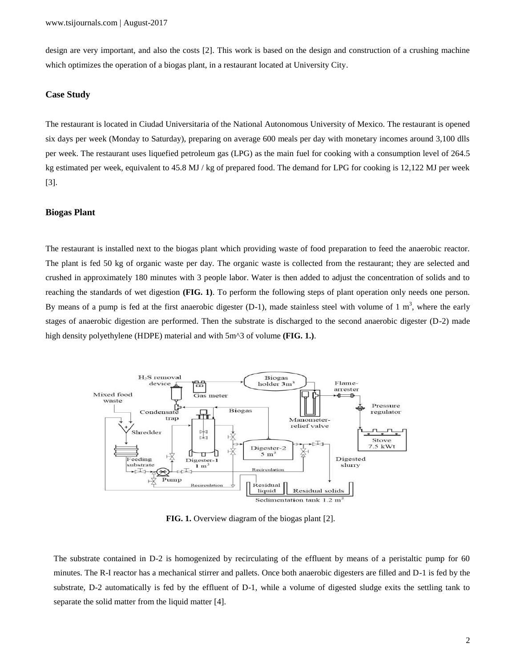design are very important, and also the costs [2]. This work is based on the design and construction of a crushing machine which optimizes the operation of a biogas plant, in a restaurant located at University City.

#### **Case Study**

The restaurant is located in Ciudad Universitaria of the National Autonomous University of Mexico. The restaurant is opened six days per week (Monday to Saturday), preparing on average 600 meals per day with monetary incomes around 3,100 dlls per week. The restaurant uses liquefied petroleum gas (LPG) as the main fuel for cooking with a consumption level of 264.5 kg estimated per week, equivalent to 45.8 MJ / kg of prepared food. The demand for LPG for cooking is 12,122 MJ per week [3].

#### **Biogas Plant**

The restaurant is installed next to the biogas plant which providing waste of food preparation to feed the anaerobic reactor. The plant is fed 50 kg of organic waste per day. The organic waste is collected from the restaurant; they are selected and crushed in approximately 180 minutes with 3 people labor. Water is then added to adjust the concentration of solids and to reaching the standards of wet digestion **(FIG. 1)**. To perform the following steps of plant operation only needs one person. By means of a pump is fed at the first anaerobic digester (D-1), made stainless steel with volume of  $1 \text{ m}^3$ , where the early stages of anaerobic digestion are performed. Then the substrate is discharged to the second anaerobic digester (D-2) made high density polyethylene (HDPE) material and with 5m^3 of volume **(FIG. 1.)**.



**FIG. 1.** Overview diagram of the biogas plant [2].

The substrate contained in D-2 is homogenized by recirculating of the effluent by means of a peristaltic pump for 60 minutes. The R-I reactor has a mechanical stirrer and pallets. Once both anaerobic digesters are filled and D-1 is fed by the substrate, D-2 automatically is fed by the effluent of D-1, while a volume of digested sludge exits the settling tank to separate the solid matter from the liquid matter [4].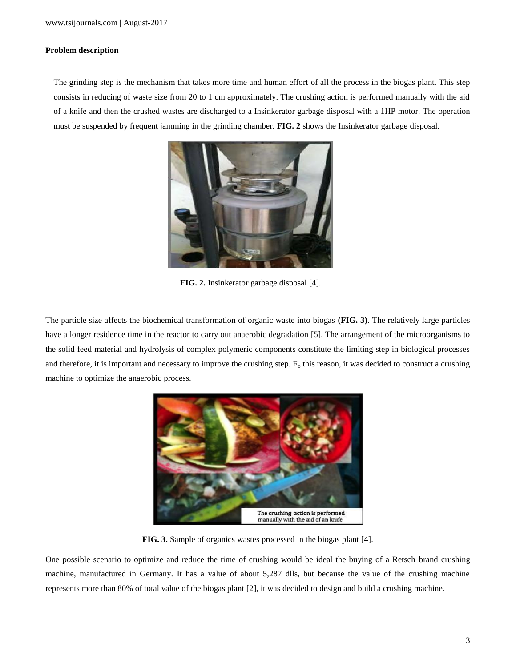#### **Problem description**

The grinding step is the mechanism that takes more time and human effort of all the process in the biogas plant. This step consists in reducing of waste size from 20 to 1 cm approximately. The crushing action is performed manually with the aid of a knife and then the crushed wastes are discharged to a Insinkerator garbage disposal with a 1HP motor. The operation must be suspended by frequent jamming in the grinding chamber. **FIG. 2** shows the Insinkerator garbage disposal.



**FIG. 2.** Insinkerator garbage disposal [4].

The particle size affects the biochemical transformation of organic waste into biogas **(FIG. 3)**. The relatively large particles have a longer residence time in the reactor to carry out anaerobic degradation [5]. The arrangement of the microorganisms to the solid feed material and hydrolysis of complex polymeric components constitute the limiting step in biological processes and therefore, it is important and necessary to improve the crushing step.  $F_0$  this reason, it was decided to construct a crushing machine to optimize the anaerobic process.



**FIG. 3.** Sample of organics wastes processed in the biogas plant [4].

One possible scenario to optimize and reduce the time of crushing would be ideal the buying of a Retsch brand crushing machine, manufactured in Germany. It has a value of about 5,287 dlls, but because the value of the crushing machine represents more than 80% of total value of the biogas plant [2], it was decided to design and build a crushing machine.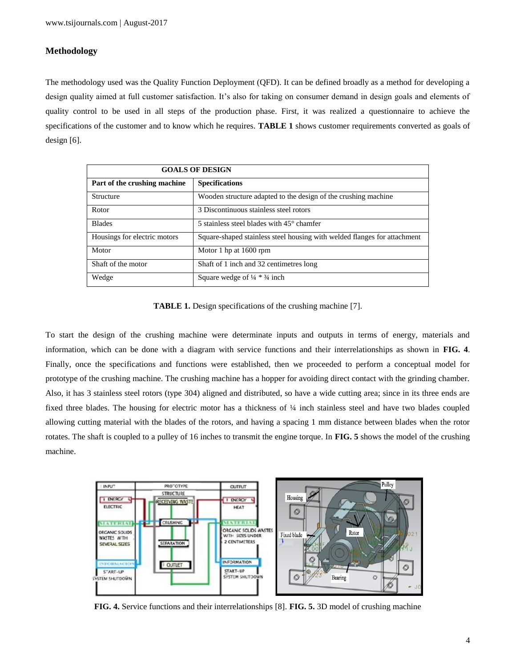## **Methodology**

The methodology used was the Quality Function Deployment (QFD). It can be defined broadly as a method for developing a design quality aimed at full customer satisfaction. It's also for taking on consumer demand in design goals and elements of quality control to be used in all steps of the production phase. First, it was realized a questionnaire to achieve the specifications of the customer and to know which he requires. **TABLE 1** shows customer requirements converted as goals of design [6].

| <b>GOALS OF DESIGN</b>       |                                                                          |
|------------------------------|--------------------------------------------------------------------------|
| Part of the crushing machine | <b>Specifications</b>                                                    |
| Structure                    | Wooden structure adapted to the design of the crushing machine           |
| Rotor                        | 3 Discontinuous stainless steel rotors                                   |
| <b>Blades</b>                | 5 stainless steel blades with $45^{\circ}$ chamfer                       |
| Housings for electric motors | Square-shaped stainless steel housing with welded flanges for attachment |
| Motor                        | Motor 1 hp at 1600 rpm                                                   |
| Shaft of the motor           | Shaft of 1 inch and 32 centimetres long                                  |
| Wedge                        | Square wedge of $\frac{1}{4} \times \frac{3}{4}$ inch                    |

**TABLE 1.** Design specifications of the crushing machine [7].

To start the design of the crushing machine were determinate inputs and outputs in terms of energy, materials and information, which can be done with a diagram with service functions and their interrelationships as shown in **FIG. 4**. Finally, once the specifications and functions were established, then we proceeded to perform a conceptual model for prototype of the crushing machine. The crushing machine has a hopper for avoiding direct contact with the grinding chamber. Also, it has 3 stainless steel rotors (type 304) aligned and distributed, so have a wide cutting area; since in its three ends are fixed three blades. The housing for electric motor has a thickness of ¼ inch stainless steel and have two blades coupled allowing cutting material with the blades of the rotors, and having a spacing 1 mm distance between blades when the rotor rotates. The shaft is coupled to a pulley of 16 inches to transmit the engine torque. In **FIG. 5** shows the model of the crushing machine.



**FIG. 4.** Service functions and their interrelationships [8]. **FIG. 5.** 3D model of crushing machine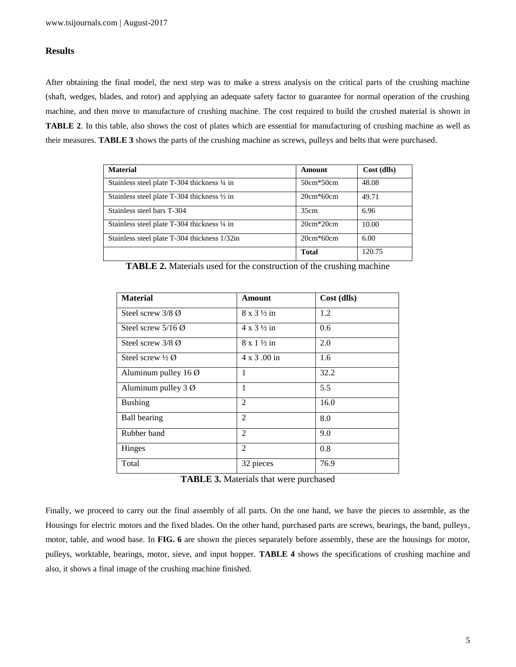## **Results**

After obtaining the final model, the next step was to make a stress analysis on the critical parts of the crushing machine (shaft, wedges, blades, and rotor) and applying an adequate safety factor to guarantee for normal operation of the crushing machine, and then move to manufacture of crushing machine. The cost required to build the crushed material is shown in **TABLE 2**. In this table, also shows the cost of plates which are essential for manufacturing of crushing machine as well as their measures. **TABLE 3** shows the parts of the crushing machine as screws, pulleys and belts that were purchased.

| <b>Material</b>                                        | Amount       | Cost (dlls) |
|--------------------------------------------------------|--------------|-------------|
| Stainless steel plate T-304 thickness 1/4 in           | $50cm*50cm$  | 48.08       |
| Stainless steel plate T-304 thickness $\frac{1}{2}$ in | $20cm*60cm$  | 49.71       |
| Stainless steel bars T-304                             | 35cm         | 6.96        |
| Stainless steel plate T-304 thickness 1/4 in           | $20cm*20cm$  | 10.00       |
| Stainless steel plate T-304 thickness 1/32in           | $20cm*60cm$  | 6.00        |
|                                                        | <b>Total</b> | 120.75      |

| <b>TABLE 2.</b> Materials used for the construction of the crushing machine |  |  |  |  |
|-----------------------------------------------------------------------------|--|--|--|--|
|-----------------------------------------------------------------------------|--|--|--|--|

| <b>Material</b>                 | Amount                      | Cost (dlls) |
|---------------------------------|-----------------------------|-------------|
| Steel screw $3/8$ $\emptyset$   | $8 \times 3 \frac{1}{2}$ in | 1.2         |
| Steel screw $5/16$ Ø            | $4 \times 3 \frac{1}{2}$ in | 0.6         |
| Steel screw $3/8$ $\emptyset$   | $8 \times 1 \frac{1}{2}$ in | 2.0         |
| Steel screw $\frac{1}{2}$ Ø     | 4 x 3 .00 in                | 1.6         |
| Aluminum pulley $16\varnothing$ | 1                           | 32.2        |
| Aluminum pulley $3 \varnothing$ | 1                           | 5.5         |
| <b>Bushing</b>                  | 2                           | 16.0        |
| <b>Ball bearing</b>             | 2                           | 8.0         |
| Rubber band                     | 2                           | 9.0         |
| Hinges                          | $\mathfrak{D}$              | 0.8         |
| Total                           | 32 pieces                   | 76.9        |

**TABLE 3.** Materials that were purchased

Finally, we proceed to carry out the final assembly of all parts. On the one hand, we have the pieces to assemble, as the Housings for electric motors and the fixed blades. On the other hand, purchased parts are screws, bearings, the band, pulleys, motor, table, and wood base. In **FIG. 6** are shown the pieces separately before assembly, these are the housings for motor, pulleys, worktable, bearings, motor, sieve, and input hopper. **TABLE 4** shows the specifications of crushing machine and also, it shows a final image of the crushing machine finished.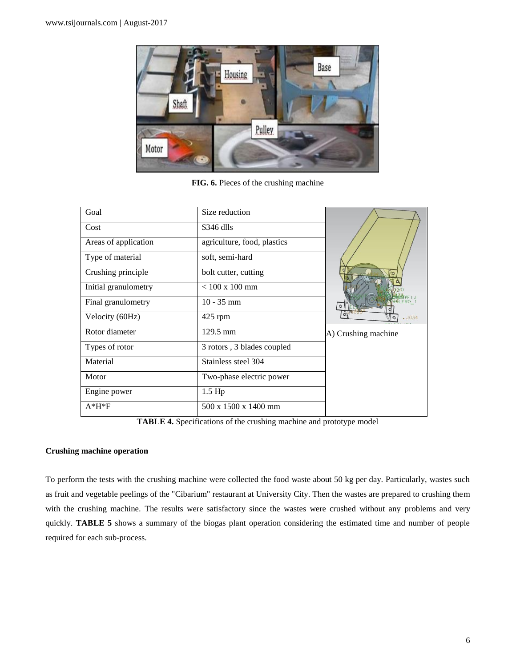

**FIG. 6.** Pieces of the crushing machine

| Goal                 | Size reduction              |                     |
|----------------------|-----------------------------|---------------------|
| Cost                 | \$346 dlls                  |                     |
| Areas of application | agriculture, food, plastics |                     |
| Type of material     | soft, semi-hard             |                     |
| Crushing principle   | bolt cutter, cutting        |                     |
| Initial granulometry | $< 100 \times 100$ mm       |                     |
| Final granulometry   | $10 - 35$ mm                |                     |
| Velocity (60Hz)      | $425$ rpm                   | $-1034$             |
| Rotor diameter       | $129.5 \text{ mm}$          | A) Crushing machine |
| Types of rotor       | 3 rotors, 3 blades coupled  |                     |
| Material             | Stainless steel 304         |                     |
| Motor                | Two-phase electric power    |                     |
| Engine power         | $1.5$ Hp                    |                     |
| $A*H*F$              | 500 x 1500 x 1400 mm        |                     |

**TABLE 4.** Specifications of the crushing machine and prototype model

#### **Crushing machine operation**

To perform the tests with the crushing machine were collected the food waste about 50 kg per day. Particularly, wastes such as fruit and vegetable peelings of the "Cibarium" restaurant at University City. Then the wastes are prepared to crushing them with the crushing machine. The results were satisfactory since the wastes were crushed without any problems and very quickly. **TABLE 5** shows a summary of the biogas plant operation considering the estimated time and number of people required for each sub-process.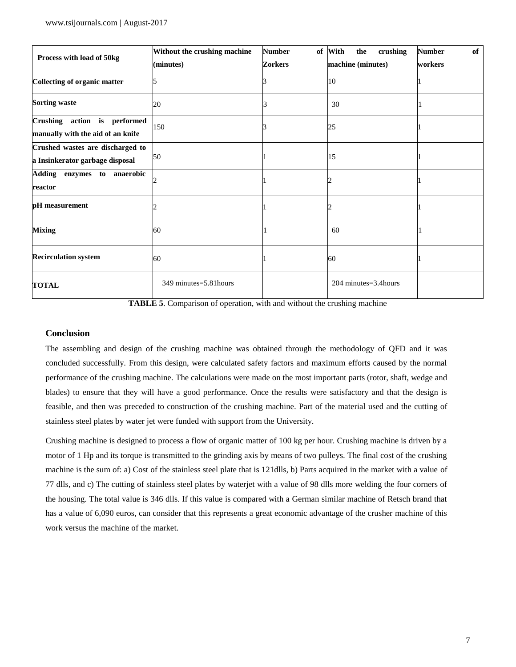|                                                                     | Without the crushing machine | <b>Number</b>  | of With<br>crushing<br>the | <b>Number</b><br>of |
|---------------------------------------------------------------------|------------------------------|----------------|----------------------------|---------------------|
| Process with load of 50kg                                           | (minutes)                    | <b>Zorkers</b> | machine (minutes)          | workers             |
| Collecting of organic matter                                        |                              |                | 10                         |                     |
| <b>Sorting waste</b>                                                | 20                           |                | 30                         |                     |
| Crushing action is performed<br>manually with the aid of an knife   | 150                          |                | 25                         |                     |
| Crushed wastes are discharged to<br>a Insinkerator garbage disposal | 50                           |                | 15                         |                     |
| Adding enzymes to anaerobic<br>reactor                              |                              |                |                            |                     |
| pH measurement                                                      |                              |                |                            |                     |
| <b>Mixing</b>                                                       | 60                           |                | 60                         |                     |
| <b>Recirculation system</b>                                         | 60                           |                | 60                         |                     |
| <b>TOTAL</b>                                                        | 349 minutes=5.81 hours       |                | $204$ minutes= $3.4$ hours |                     |

**TABLE 5**. Comparison of operation, with and without the crushing machine

## **Conclusion**

The assembling and design of the crushing machine was obtained through the methodology of QFD and it was concluded successfully. From this design, were calculated safety factors and maximum efforts caused by the normal performance of the crushing machine. The calculations were made on the most important parts (rotor, shaft, wedge and blades) to ensure that they will have a good performance. Once the results were satisfactory and that the design is feasible, and then was preceded to construction of the crushing machine. Part of the material used and the cutting of stainless steel plates by water jet were funded with support from the University.

Crushing machine is designed to process a flow of organic matter of 100 kg per hour. Crushing machine is driven by a motor of 1 Hp and its torque is transmitted to the grinding axis by means of two pulleys. The final cost of the crushing machine is the sum of: a) Cost of the stainless steel plate that is 121dlls, b) Parts acquired in the market with a value of 77 dlls, and c) The cutting of stainless steel plates by waterjet with a value of 98 dlls more welding the four corners of the housing. The total value is 346 dlls. If this value is compared with a German similar machine of Retsch brand that has a value of 6,090 euros, can consider that this represents a great economic advantage of the crusher machine of this work versus the machine of the market.